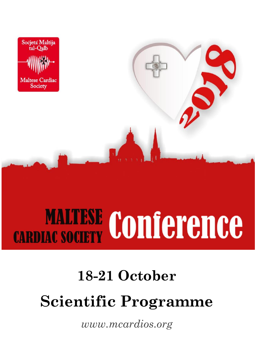

# **MALTESE Conference**

## **18-21 October Scientific Programme**

*[www.mcardios.org](http://www.mcardios.org/)*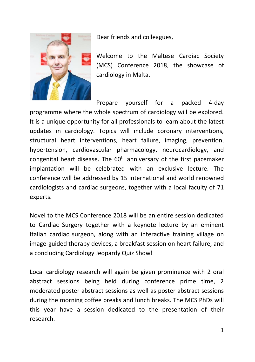

Dear friends and colleagues,

Welcome to the Maltese Cardiac Society (MCS) Conference 2018, the showcase of cardiology in Malta.

Prepare yourself for a packed 4-day programme where the whole spectrum of cardiology will be explored. It is a unique opportunity for all professionals to learn about the latest updates in cardiology. Topics will include coronary interventions, structural heart interventions, heart failure, imaging, prevention, hypertension, cardiovascular pharmacology, neurocardiology, and congenital heart disease. The  $60<sup>th</sup>$  anniversary of the first pacemaker implantation will be celebrated with an exclusive lecture. The conference will be addressed by 15 international and world renowned cardiologists and cardiac surgeons, together with a local faculty of 71 experts.

Novel to the MCS Conference 2018 will be an entire session dedicated to Cardiac Surgery together with a keynote lecture by an eminent Italian cardiac surgeon, along with an interactive training village on image-guided therapy devices, a breakfast session on heart failure, and a concluding Cardiology Jeopardy Quiz Show!

Local cardiology research will again be given prominence with 2 oral abstract sessions being held during conference prime time, 2 moderated poster abstract sessions as well as poster abstract sessions during the morning coffee breaks and lunch breaks. The MCS PhDs will this year have a session dedicated to the presentation of their research.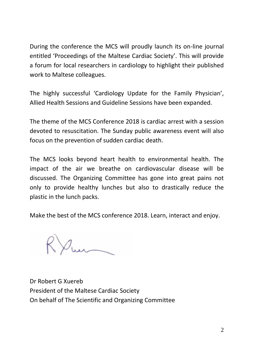During the conference the MCS will proudly launch its on-line journal entitled 'Proceedings of the Maltese Cardiac Society'. This will provide a forum for local researchers in cardiology to highlight their published work to Maltese colleagues.

The highly successful 'Cardiology Update for the Family Physician', Allied Health Sessions and Guideline Sessions have been expanded.

The theme of the MCS Conference 2018 is cardiac arrest with a session devoted to resuscitation. The Sunday public awareness event will also focus on the prevention of sudden cardiac death.

The MCS looks beyond heart health to environmental health. The impact of the air we breathe on cardiovascular disease will be discussed. The Organizing Committee has gone into great pains not only to provide healthy lunches but also to drastically reduce the plastic in the lunch packs.

Make the best of the MCS conference 2018. Learn, interact and enjoy.

Dr Robert G Xuereb President of the Maltese Cardiac Society On behalf of The Scientific and Organizing Committee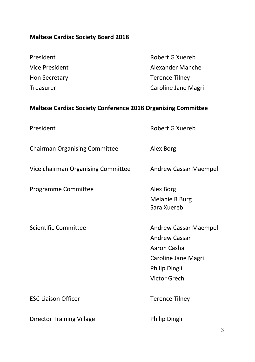#### **Maltese Cardiac Society Board 2018**

| President      | Robert G Xuereb     |
|----------------|---------------------|
| Vice President | Alexander Manche    |
| Hon Secretary  | Terence Tilney      |
| Treasurer      | Caroline Jane Magri |
|                |                     |

#### **Maltese Cardiac Society Conference 2018 Organising Committee**

| President                            | Robert G Xuereb                                                                                                      |
|--------------------------------------|----------------------------------------------------------------------------------------------------------------------|
| <b>Chairman Organising Committee</b> | Alex Borg                                                                                                            |
| Vice chairman Organising Committee   | Andrew Cassar Maempel                                                                                                |
| Programme Committee                  | Alex Borg<br><b>Melanie R Burg</b><br>Sara Xuereb                                                                    |
| Scientific Committee                 | Andrew Cassar Maempel<br><b>Andrew Cassar</b><br>Aaron Casha<br>Caroline Jane Magri<br>Philip Dingli<br>Victor Grech |
| <b>ESC Liaison Officer</b>           | <b>Terence Tilney</b>                                                                                                |
| <b>Director Training Village</b>     | Philip Dingli                                                                                                        |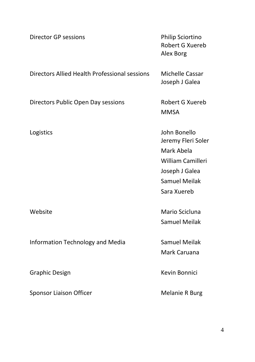| <b>Director GP sessions</b>                   | Philip Sciortino<br>Robert G Xuereb<br>Alex Borg                                                                                      |
|-----------------------------------------------|---------------------------------------------------------------------------------------------------------------------------------------|
| Directors Allied Health Professional sessions | Michelle Cassar<br>Joseph J Galea                                                                                                     |
| Directors Public Open Day sessions            | Robert G Xuereb<br><b>MMSA</b>                                                                                                        |
| Logistics                                     | John Bonello<br>Jeremy Fleri Soler<br>Mark Abela<br><b>William Camilleri</b><br>Joseph J Galea<br><b>Samuel Meilak</b><br>Sara Xuereb |
| Website                                       | Mario Scicluna<br><b>Samuel Meilak</b>                                                                                                |
| Information Technology and Media              | <b>Samuel Meilak</b><br>Mark Caruana                                                                                                  |
| <b>Graphic Design</b>                         | Kevin Bonnici                                                                                                                         |
| Sponsor Liaison Officer                       | <b>Melanie R Burg</b>                                                                                                                 |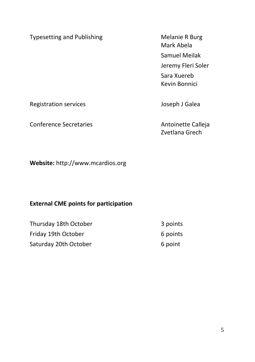Typesetting and Publishing Melanie R Burg

Mark Abela Samuel Meilak Jeremy Fleri Soler Sara Xuereb Kevin Bonnici

Registration services and a services of the service of the service of the service of the service of the service of the service of the service of the service of the service of the service of the service of the service of th

Conference Secretaries **Antoinette Calleja** 

Zvetlana Grech

**Website:** http://www.mcardios.org

#### **External CME points for participation**

| Thursday 18th October | 3 points |
|-----------------------|----------|
| Friday 19th October   | 6 points |
| Saturday 20th October | 6 point  |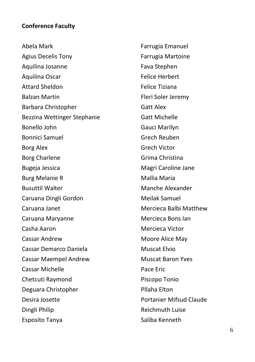#### **Conference Faculty**

Abela Mark Agius Decelis Tony Aquilina Josanne Aquilina Oscar Attard Sheldon Balzan Martin Barbara Christopher Bezzina Wettinger Stephanie Bonello John Bonnici Samuel Borg Alex Borg Charlene Bugeja Jessica Burg Melanie R Busuttil Walter Caruana Dingli Gordon Caruana Janet Caruana Maryanne Casha Aaron Cassar Andrew Cassar Demarco Daniela Cassar Maempel Andrew Cassar Michelle Chetcuti Raymond Deguara Christopher Desira Josette Dingli Philip Esposito Tanya

 Farrugia Emanuel Farrugia Martoine Fava Stephen Felice Herbert Felice Tiziana Fleri Soler Jeremy Gatt Alex Gatt Michelle Gauci Marilyn Grech Reuben Grech Victor Grima Christina Magri Caroline Jane Mallia Maria Manche Alexander Meilak Samuel Mercieca Balbi Matthew Mercieca Bons Ian Mercieca Victor Moore Alice May Muscat Elvio Muscat Baron Yves Pace Eric Piscopo Tonio Pllaha Elton Portanier Mifsud Claude Reichmuth Luise Saliba Kenneth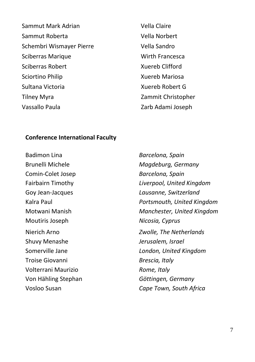Sammut Mark Adrian Sammut Roberta Schembri Wismayer Pierre Sciberras Marique Sciberras Robert Sciortino Philip Sultana Victoria Tilney Myra Vassallo Paula

 Vella Claire Vella Norbert Vella Sandro Wirth Francesca Xuereb Clifford Xuereb Mariosa Xuereb Robert G Zammit Christopher Zarb Adami Joseph

#### **Conference International Faculty**

Badimon Lina *Barcelona, Spain* Brunelli Michele *Magdeburg, Germany* Comin-Colet Josep *Barcelona, Spain* Goy Jean-Jacques *Lausanne, Switzerland* Moutiris Joseph *Nicosia, Cyprus* Shuvy Menashe *Jerusalem, Israel* Troise Giovanni *Brescia, Italy* Volterrani Maurizio *Rome, Italy* Von Hähling Stephan *Göttingen, Germany*

Fairbairn Timothy *Liverpool, United Kingdom* Kalra Paul *Portsmouth, United Kingdom* Motwani Manish *Manchester, United Kingdom* Nierich Arno *Zwolle, The Netherlands* Somerville Jane *London, United Kingdom* Vosloo Susan *Cape Town, South Africa*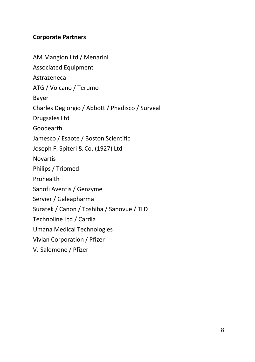#### **Corporate Partners**

AM Mangion Ltd / Menarini Associated Equipment Astrazeneca ATG / Volcano / Terumo Bayer Charles Degiorgio / Abbott / Phadisco / Surveal Drugsales Ltd Goodearth Jamesco / Esaote / Boston Scientific Joseph F. Spiteri & Co. (1927) Ltd **Novartis** Philips / Triomed Prohealth Sanofi Aventis / Genzyme Servier / Galeapharma Suratek / Canon / Toshiba / Sanovue / TLD Technoline Ltd / Cardia Umana Medical Technologies Vivian Corporation / Pfizer VJ Salomone / Pfizer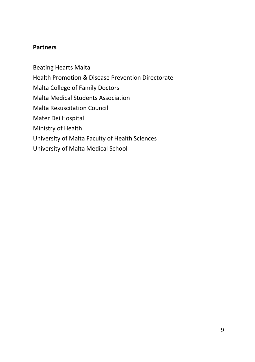#### **Partners**

Beating Hearts Malta Health Promotion & Disease Prevention Directorate Malta College of Family Doctors Malta Medical Students Association Malta Resuscitation Council Mater Dei Hospital Ministry of Health University of Malta Faculty of Health Sciences University of Malta Medical School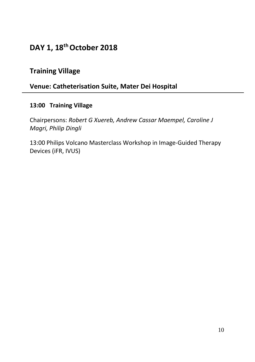#### **DAY 1, 18th October 2018**

#### **Training Village**

#### **Venue: Catheterisation Suite, Mater Dei Hospital**

#### **13:00 Training Village**

Chairpersons: *Robert G Xuereb, Andrew Cassar Maempel, Caroline J Magri, Philip Dingli*

13:00 Philips Volcano Masterclass Workshop in Image-Guided Therapy Devices (iFR, IVUS)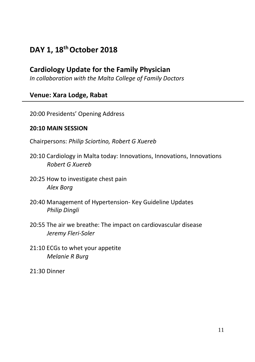#### **DAY 1, 18th October 2018**

#### **Cardiology Update for the Family Physician**

*In collaboration with the Malta College of Family Doctors*

#### **Venue: Xara Lodge, Rabat**

20:00 Presidents' Opening Address

#### **20:10 MAIN SESSION**

Chairpersons: *Philip Sciortino, Robert G Xuereb*

- 20:10 Cardiology in Malta today: Innovations, Innovations, Innovations *Robert G Xuereb*
- 20:25 How to investigate chest pain *Alex Borg*
- 20:40 Management of Hypertension- Key Guideline Updates *Philip Dingli*
- 20:55 The air we breathe: The impact on cardiovascular disease *Jeremy Fleri-Soler*
- 21:10 ECGs to whet your appetite *Melanie R Burg*
- 21:30 Dinner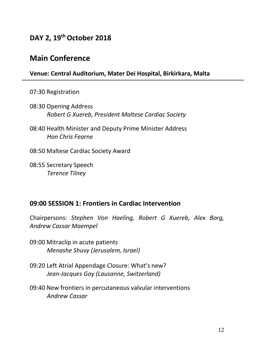#### **DAY 2, 19th October 2018**

#### **Main Conference**

#### **Venue: Central Auditorium, Mater Dei Hospital, Birkirkara, Malta**

07:30 Registration

- 08:30 Opening Address *Robert G Xuereb, President Maltese Cardiac Society*
- 08:40 Health Minister and Deputy Prime Minister Address *Hon Chris Fearne*
- 08:50 Maltese Cardiac Society Award
- 08:55 Secretary Speech *Terence Tilney*

#### **09:00 SESSION 1: Frontiers in Cardiac Intervention**

Chairpersons: *Stephen Von Haeling, Robert G Xuereb, Alex Borg, Andrew Cassar Maempel*

- 09:00 Mitraclip in acute patients *Menashe Shuvy (Jerusalem, Israel)*
- 09:20 Left Atrial Appendage Closure: What's new? *Jean-Jacques Goy (Lausanne, Switzerland)*
- 09:40 New frontiers in percutaneous valvular interventions *Andrew Cassar*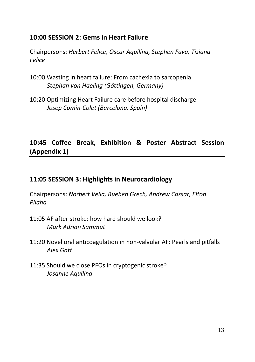#### **10:00 SESSION 2: Gems in Heart Failure**

Chairpersons: *Herbert Felice, Oscar Aquilina, Stephen Fava, Tiziana Felice*

- 10:00 Wasting in heart failure: From cachexia to sarcopenia *Stephan von Haeling (Göttingen, Germany)*
- 10:20 Optimizing Heart Failure care before hospital discharge *Josep Comin-Colet (Barcelona, Spain)*

#### **10:45 Coffee Break, Exhibition & Poster Abstract Session (Appendix 1)**

#### **11:05 SESSION 3: Highlights in Neurocardiology**

Chairpersons: *Norbert Vella, Rueben Grech, Andrew Cassar, Elton Pllaha*

- 11:05 AF after stroke: how hard should we look? *Mark Adrian Sammut*
- 11:20 Novel oral anticoagulation in non-valvular AF: Pearls and pitfalls *Alex Gatt*
- 11:35 Should we close PFOs in cryptogenic stroke? *Josanne Aquilina*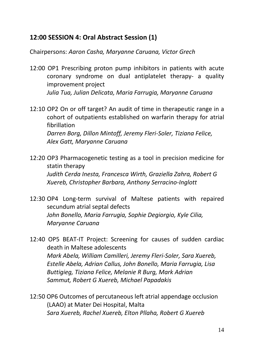#### **12:00 SESSION 4: Oral Abstract Session (1)**

Chairpersons: *Aaron Casha, Maryanne Caruana, Victor Grech*

- 12:00 OP1 Prescribing proton pump inhibitors in patients with acute coronary syndrome on dual antiplatelet therapy- a quality improvement project *Julia Tua, Julian Delicata, Maria Farrugia, Maryanne Caruana*
- 12:10 OP2 On or off target? An audit of time in therapeutic range in a cohort of outpatients established on warfarin therapy for atrial fibrillation *Darren Borg, Dillon Mintoff, Jeremy Fleri-Soler, Tiziana Felice, Alex Gatt, Maryanne Caruana*
- 12:20 OP3 Pharmacogenetic testing as a tool in precision medicine for statin therapy *Judith Cerda Inesta, Francesca Wirth, Graziella Zahra, Robert G Xuereb, Christopher Barbara, Anthony Serracino-Inglott*
- 12:30 OP4 Long-term survival of Maltese patients with repaired secundum atrial septal defects *John Bonello, Maria Farrugia, Sophie Degiorgio, Kyle Cilia, Maryanne Caruana*
- 12:40 OP5 BEAT-IT Project: Screening for causes of sudden cardiac death in Maltese adolescents *Mark Abela, William Camilleri, Jeremy Fleri-Soler, Sara Xuereb, Estelle Abela, Adrian Callus, John Bonello, Maria Farrugia, Lisa Buttigieg, Tiziana Felice, Melanie R Burg, Mark Adrian Sammut, Robert G Xuereb, Michael Papadakis*
- 12:50 OP6 Outcomes of percutaneous left atrial appendage occlusion (LAAO) at Mater Dei Hospital, Malta *Sara Xuereb, Rachel Xuereb, Elton Pllaha, Robert G Xuereb*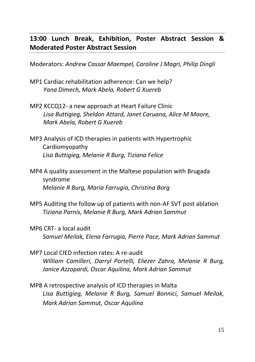#### **13:00 Lunch Break, Exhibition, Poster Abstract Session & Moderated Poster Abstract Session**

Moderators: *Andrew Cassar Maempel, Caroline J Magri, Philip Dingli*

- MP1 Cardiac rehabilitation adherence: Can we help?  *Yana Dimech, Mark Abela, Robert G Xuereb*
- MP2 KCCQ12- a new approach at Heart Failure Clinic  *Lisa Buttigieg, Sheldon Attard, Janet Caruana, Alice M Moore, Mark Abela, Robert G Xuereb*
- MP3 Analysis of ICD therapies in patients with Hypertrophic Cardiomyopathy *Lisa Buttigieg, Melanie R Burg, Tiziana Felice*
- MP4 A quality assessment in the Maltese population with Brugada syndrome *Melanie R Burg, Maria Farrugia, Christina Borg*
- MP5 Auditing the follow up of patients with non-AF SVT post ablation *Tiziana Parnis, Melanie R Burg, Mark Adrian Sammut*
- MP6 CRT- a local audit *Samuel Meilak, Elena Farrugia, Pierre Pace, Mark Adrian Sammut*
- MP7 Local CIED infection rates: A re-audit *William Camilleri, Darryl Portelli, Eliezer Zahra, Melanie R Burg, Janice Azzopardi, Oscar Aquilina, Mark Adrian Sammut*
- MP8 A retrospective analysis of ICD therapies in Malta *Lisa Buttigieg, Melanie R Burg, Samuel Bonnici, Samuel Meilak, Mark Adrian Sammut, Oscar Aquilina*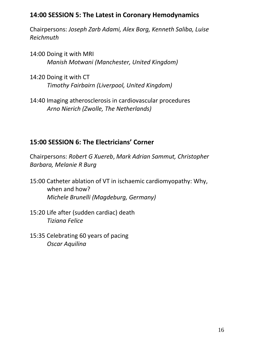#### **14:00 SESSION 5: The Latest in Coronary Hemodynamics**

Chairpersons: *Joseph Zarb Adami, Alex Borg, Kenneth Saliba, Luise Reichmuth*

- 14:00 Doing it with MRI *Manish Motwani (Manchester, United Kingdom)*
- 14:20 Doing it with CT *Timothy Fairbairn (Liverpool, United Kingdom)*
- 14:40 Imaging atherosclerosis in cardiovascular procedures *Arno Nierich (Zwolle, The Netherlands)*

#### **15:00 SESSION 6: The Electricians' Corner**

Chairpersons: *Robert G Xuereb*, *Mark Adrian Sammut, Christopher Barbara, Melanie R Burg*

- 15:00 Catheter ablation of VT in ischaemic cardiomyopathy: Why, when and how? *Michele Brunelli (Magdeburg, Germany)*
- 15:20 Life after (sudden cardiac) death *Tiziana Felice*
- 15:35 Celebrating 60 years of pacing *Oscar Aquilina*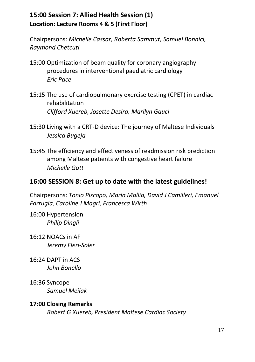#### **15:00 Session 7: Allied Health Session (1) Location: Lecture Rooms 4 & 5 (First Floor)**

Chairpersons: *Michelle Cassar, Roberta Sammut, Samuel Bonnici, Raymond Chetcuti*

- 15:00 Optimization of beam quality for coronary angiography procedures in interventional paediatric cardiology *Eric Pace*
- 15:15 The use of cardiopulmonary exercise testing (CPET) in cardiac rehabilitation *Clifford Xuereb, Josette Desira, Marilyn Gauci*
- 15:30 Living with a CRT-D device: The journey of Maltese Individuals *Jessica Bugeja*
- 15:45 The efficiency and effectiveness of readmission risk prediction among Maltese patients with congestive heart failure *Michelle Gatt*

#### **16:00 SESSION 8: Get up to date with the latest guidelines!**

Chairpersons: *Tonio Piscopo, Maria Mallia, David J Camilleri, Emanuel Farrugia, Caroline J Magri, Francesca Wirth*

16:00 Hypertension *Philip Dingli*

- 16:12 NOACs in AF *Jeremy Fleri-Soler*
- 16:24 DAPT in ACS *John Bonello*
- 16:36 Syncope *Samuel Meilak*
- **17:00 Closing Remarks** *Robert G Xuereb, President Maltese Cardiac Society*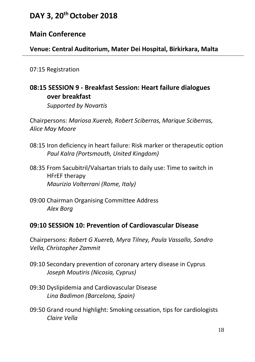#### **DAY 3, 20th October 2018**

#### **Main Conference**

**Venue: Central Auditorium, Mater Dei Hospital, Birkirkara, Malta**

07:15 Registration

#### **08:15 SESSION 9 - Breakfast Session: Heart failure dialogues over breakfast**

*Supported by Novartis*

Chairpersons: *Mariosa Xuereb, Robert Sciberras, Marique Sciberras, Alice May Moore*

- 08:15 Iron deficiency in heart failure: Risk marker or therapeutic option *Paul Kalra (Portsmouth, United Kingdom)*
- 08:35 From Sacubitril/Valsartan trials to daily use: Time to switch in HFrEF therapy *Maurizio Volterrani (Rome, Italy)*
- 09:00 Chairman Organising Committee Address *Alex Borg*

#### **09:10 SESSION 10: Prevention of Cardiovascular Disease**

Chairpersons: *Robert G Xuereb, Myra Tilney, Paula Vassallo, Sandro Vella, Christopher Zammit*

- 09:10 Secondary prevention of coronary artery disease in Cyprus *Joseph Moutiris (Nicosia, Cyprus)*
- 09:30 Dyslipidemia and Cardiovascular Disease *Lina Badimon (Barcelona, Spain)*
- 09:50 Grand round highlight: Smoking cessation, tips for cardiologists *Claire Vella*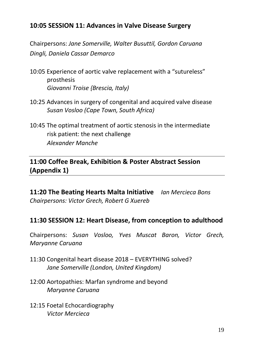#### **10:05 SESSION 11: Advances in Valve Disease Surgery**

Chairpersons: *Jane Somerville, Walter Busuttil, Gordon Caruana Dingli, Daniela Cassar Demarco*

- 10:05 Experience of aortic valve replacement with a "sutureless" prosthesis *Giovanni Troise {Brescia, Italy)*
- 10:25 Advances in surgery of congenital and acquired valve disease *Susan Vosloo (Cape Town, South Africa)*
- 10:45 The optimal treatment of aortic stenosis in the intermediate risk patient: the next challenge *Alexander Manche*

#### **11:00 Coffee Break, Exhibition & Poster Abstract Session (Appendix 1)**

**11:20 The Beating Hearts Malta Initiative** *Ian Mercieca Bons Chairpersons: Victor Grech, Robert G Xuereb*

#### **11:30 SESSION 12: Heart Disease, from conception to adulthood**

Chairpersons: *Susan Vosloo, Yves Muscat Baron, Victor Grech, Maryanne Caruana*

- 11:30 Congenital heart disease 2018 EVERYTHING solved? *Jane Somerville (London, United Kingdom)*
- 12:00 Aortopathies: Marfan syndrome and beyond *Maryanne Caruana*
- 12:15 Foetal Echocardiography *Victor Mercieca*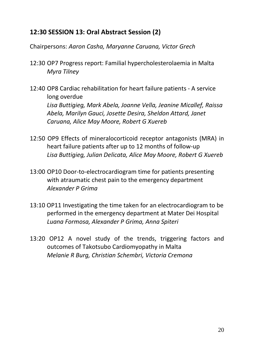#### **12:30 SESSION 13: Oral Abstract Session (2)**

Chairpersons: *Aaron Casha, Maryanne Caruana, Victor Grech*

- 12:30 OP7 Progress report: Familial hypercholesterolaemia in Malta *Myra Tilney*
- 12:40 OP8 Cardiac rehabilitation for heart failure patients A service long overdue *Lisa Buttigieg, Mark Abela, Joanne Vella, Jeanine Micallef, Raissa Abela, Marilyn Gauci, Josette Desira, Sheldon Attard, Janet Caruana, Alice May Moore, Robert G Xuereb*
- 12:50 OP9 Effects of mineralocorticoid receptor antagonists (MRA) in heart failure patients after up to 12 months of follow-up *Lisa Buttigieg, Julian Delicata, Alice May Moore, Robert G Xuereb*
- 13:00 OP10 Door-to-electrocardiogram time for patients presenting with atraumatic chest pain to the emergency department *Alexander P Grima*
- 13:10 OP11 Investigating the time taken for an electrocardiogram to be performed in the emergency department at Mater Dei Hospital *Luana Formosa, Alexander P Grima, Anna Spiteri*
- 13:20 OP12 A novel study of the trends, triggering factors and outcomes of Takotsubo Cardiomyopathy in Malta *Melanie R Burg, Christian Schembri, Victoria Cremona*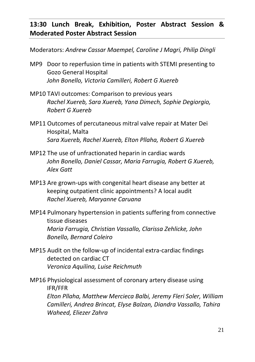#### **13:30 Lunch Break, Exhibition, Poster Abstract Session & Moderated Poster Abstract Session**

Moderators: *Andrew Cassar Maempel, Caroline J Magri, Philip Dingli*

- MP9 Door to reperfusion time in patients with STEMI presenting to Gozo General Hospital *John Bonello, Victoria Camilleri, Robert G Xuereb*
- MP10 TAVI outcomes: Comparison to previous years *Rachel Xuereb, Sara Xuereb, Yana Dimech, Sophie Degiorgio, Robert G Xuereb*
- MP11 Outcomes of percutaneous mitral valve repair at Mater Dei Hospital, Malta *Sara Xuereb, Rachel Xuereb, Elton Pllaha, Robert G Xuereb*
- MP12 The use of unfractionated heparin in cardiac wards *John Bonello, Daniel Cassar, Maria Farrugia, Robert G Xuereb, Alex Gatt*
- MP13 Are grown-ups with congenital heart disease any better at keeping outpatient clinic appointments? A local audit *Rachel Xuereb, Maryanne Caruana*
- MP14 Pulmonary hypertension in patients suffering from connective tissue diseases *Maria Farrugia, Christian Vassallo, Clarissa Zehlicke, John Bonello, Bernard Coleiro*
- MP15 Audit on the follow-up of incidental extra-cardiac findings detected on cardiac CT *Veronica Aquilina, Luise Reichmuth*

MP16 Physiological assessment of coronary artery disease using IFR/FFR *Elton Pllaha, Matthew Mercieca Balbi, Jeremy Fleri Soler, William Camilleri, Andrea Brincat, Elyse Balzan, Diandra Vassallo, Tahira Waheed, Eliezer Zahra*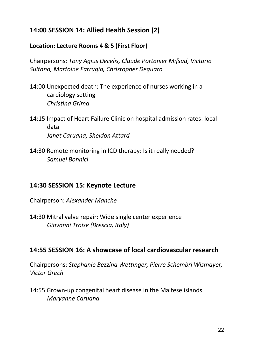#### **14:00 SESSION 14: Allied Health Session (2)**

#### **Location: Lecture Rooms 4 & 5 (First Floor)**

Chairpersons: *Tony Agius Decelis, Claude Portanier Mifsud, Victoria Sultana, Martoine Farrugia, Christopher Deguara*

- 14:00 Unexpected death: The experience of nurses working in a cardiology setting *Christina Grima*
- 14:15 Impact of Heart Failure Clinic on hospital admission rates: local data *Janet Caruana, Sheldon Attard*
- 14:30 Remote monitoring in ICD therapy: Is it really needed? *Samuel Bonnici*

#### **14:30 SESSION 15: Keynote Lecture**

Chairperson: *Alexander Manche*

14:30 Mitral valve repair: Wide single center experience *Giovanni Troise (Brescia, Italy)*

#### **14:55 SESSION 16: A showcase of local cardiovascular research**

Chairpersons: *Stephanie Bezzina Wettinger, Pierre Schembri Wismayer, Victor Grech*

14:55 Grown-up congenital heart disease in the Maltese islands *Maryanne Caruana*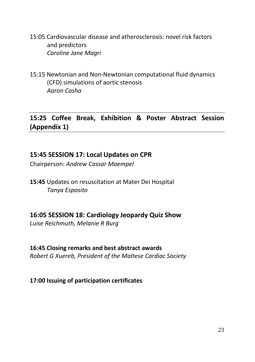15:05 Cardiovascular disease and atherosclerosis: novel risk factors and predictors *Caroline Jane Magri*

15:15 Newtonian and Non-Newtonian computational fluid dynamics (CFD) simulations of aortic stenosis *Aaron Casha*

**15:25 Coffee Break, Exhibition & Poster Abstract Session (Appendix 1)**

#### **15:45 SESSION 17: Local Updates on CPR**

Chairperson: *Andrew Cassar Maempel*

**15:45** Updates on resuscitation at Mater Dei Hospital *Tanya Esposito*

#### **16:05 SESSION 18: Cardiology Jeopardy Quiz Show**

*Luise Reichmuth, Melanie R Burg*

#### **16:45 Closing remarks and best abstract awards**

*Robert G Xuereb, President of the Maltese Cardiac Society*

#### **17:00 Issuing of participation certificates**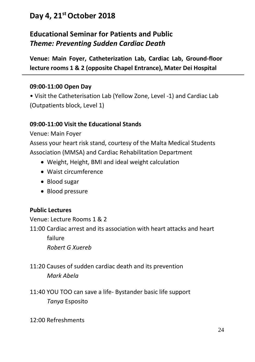#### **Day 4, 21st October 2018**

#### **Educational Seminar for Patients and Public** *Theme: Preventing Sudden Cardiac Death*

**Venue: Main Foyer, Catheterization Lab, Cardiac Lab, Ground-floor lecture rooms 1 & 2 (opposite Chapel Entrance), Mater Dei Hospital**

#### **09:00-11:00 Open Day**

• Visit the Catheterisation Lab (Yellow Zone, Level -1) and Cardiac Lab (Outpatients block, Level 1)

#### **09:00-11:00 Visit the Educational Stands**

Venue: Main Foyer

Assess your heart risk stand, courtesy of the Malta Medical Students Association (MMSA) and Cardiac Rehabilitation Department

- Weight, Height, BMI and ideal weight calculation
- Waist circumference
- Blood sugar
- Blood pressure

#### **Public Lectures**

Venue: Lecture Rooms 1 & 2

11:00 Cardiac arrest and its association with heart attacks and heart

failure

*Robert G Xuereb*

- 11:20 Causes of sudden cardiac death and its prevention *Mark Abela*
- 11:40 YOU TOO can save a life- Bystander basic life support *Tanya* Esposito

12:00 Refreshments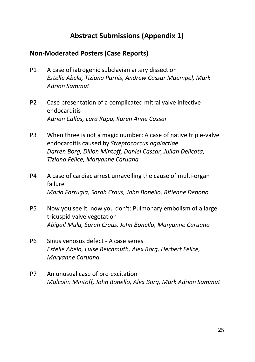#### **Abstract Submissions (Appendix 1)**

#### **Non-Moderated Posters (Case Reports)**

- P1 A case of iatrogenic subclavian artery dissection *Estelle Abela, Tiziana Parnis, Andrew Cassar Maempel, Mark Adrian Sammut*
- P2 Case presentation of a complicated mitral valve infective endocarditis *Adrian Callus, Lara Rapa, Karen Anne Cassar*
- P3 When three is not a magic number: A case of native triple-valve endocarditis caused by *Streptococcus agalactiae Darren Borg, Dillon Mintoff, Daniel Cassar, Julian Delicata, Tiziana Felice, Maryanne Caruana*
- P4 A case of cardiac arrest unravelling the cause of multi-organ failure *Maria Farrugia, Sarah Craus, John Bonello, Ritienne Debono*
- P5 Now you see it, now you don't: Pulmonary embolism of a large tricuspid valve vegetation *Abigail Mula, Sarah Craus, John Bonello, Maryanne Caruana*
- P6 Sinus venosus defect A case series *Estelle Abela, Luise Reichmuth, Alex Borg, Herbert Felice, Maryanne Caruana*
- P7 An unusual case of pre-excitation *Malcolm Mintoff, John Bonello, Alex Borg, Mark Adrian Sammut*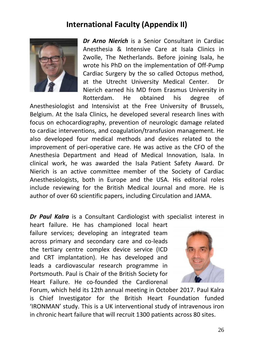#### **International Faculty (Appendix II)**



*Dr Arno Nierich* is a Senior Consultant in Cardiac Anesthesia & Intensive Care at Isala Clinics in Zwolle, The Netherlands. Before joining Isala, he wrote his PhD on the implementation of Off-Pump Cardiac Surgery by the so called Octopus method, at the Utrecht University Medical Center. Dr Nierich earned his MD from Erasmus University in Rotterdam. He obtained his degree of

Anesthesiologist and Intensivist at the Free University of Brussels, Belgium. At the Isala Clinics, he developed several research lines with focus on echocardiography, prevention of neurologic damage related to cardiac interventions, and coagulation/transfusion management. He also developed four medical methods and devices related to the improvement of peri-operative care. He was active as the CFO of the Anesthesia Department and Head of Medical Innovation, Isala. In clinical work, he was awarded the Isala Patient Safety Award. Dr Nierich is an active committee member of the Society of Cardiac Anesthesiologists, both in Europe and the USA. His editorial roles include reviewing for the British Medical Journal and more. He is author of over 60 scientific papers, including Circulation and JAMA.

*Dr Paul Kalra* is a Consultant Cardiologist with specialist interest in

heart failure. He has championed local heart failure services; developing an integrated team across primary and secondary care and co-leads the tertiary centre complex device service (ICD and CRT implantation). He has developed and leads a cardiovascular research programme in Portsmouth. Paul is Chair of the British Society for Heart Failure. He co-founded the Cardiorenal



Forum, which held its 12th annual meeting in October 2017. Paul Kalra is Chief Investigator for the British Heart Foundation funded 'IRONMAN' study. This is a UK interventional study of intravenous iron in chronic heart failure that will recruit 1300 patients across 80 sites.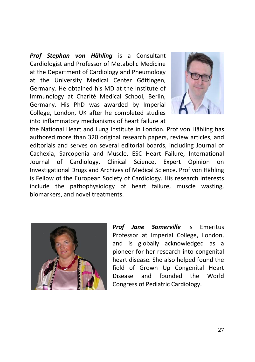*Prof Stephan von Hähling* is a Consultant Cardiologist and Professor of Metabolic Medicine at the Department of Cardiology and Pneumology at the University Medical Center Göttingen, Germany. He obtained his MD at the Institute of Immunology at Charité Medical School, Berlin, Germany. His PhD was awarded by Imperial College, London, UK after he completed studies into inflammatory mechanisms of heart failure at



the National Heart and Lung Institute in London. Prof von Hähling has authored more than 320 original research papers, review articles, and editorials and serves on several editorial boards, including Journal of Cachexia, Sarcopenia and Muscle, ESC Heart Failure, International Journal of Cardiology, Clinical Science, Expert Opinion on Investigational Drugs and Archives of Medical Science. Prof von Hähling is Fellow of the European Society of Cardiology. His research interests include the pathophysiology of heart failure, muscle wasting, biomarkers, and novel treatments.



*Prof Jane Somerville* is Emeritus Professor at Imperial College, London, and is globally acknowledged as a pioneer for her research into congenital heart disease. She also helped found the field of Grown Up Congenital Heart Disease and founded the World Congress of Pediatric Cardiology.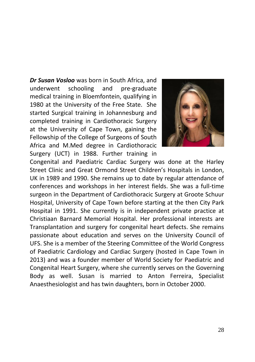*Dr Susan Vosloo* was born in South Africa, and underwent schooling and pre-graduate medical training in Bloemfontein, qualifying in 1980 at the University of the Free State. She started Surgical training in Johannesburg and completed training in Cardiothoracic Surgery at the University of Cape Town, gaining the Fellowship of the College of Surgeons of South Africa and M.Med degree in Cardiothoracic Surgery (UCT) in 1988. Further training in



Congenital and Paediatric Cardiac Surgery was done at the Harley Street Clinic and Great Ormond Street Children's Hospitals in London, UK in 1989 and 1990. She remains up to date by regular attendance of conferences and workshops in her interest fields. She was a full-time surgeon in the Department of Cardiothoracic Surgery at Groote Schuur Hospital, University of Cape Town before starting at the then City Park Hospital in 1991. She currently is in independent private practice at Christiaan Barnard Memorial Hospital. Her professional interests are Transplantation and surgery for congenital heart defects. She remains passionate about education and serves on the University Council of UFS. She is a member of the Steering Committee of the World Congress of Paediatric Cardiology and Cardiac Surgery (hosted in Cape Town in 2013) and was a founder member of World Society for Paediatric and Congenital Heart Surgery, where she currently serves on the Governing Body as well. Susan is married to Anton Ferreira, Specialist Anaesthesiologist and has twin daughters, born in October 2000.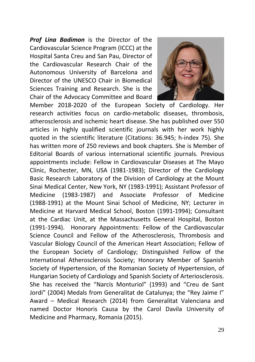*Prof Lina Badimon* is the Director of the Cardiovascular Science Program (ICCC) at the Hospital Santa Creu and San Pau, Director of the Cardiovascular Research Chair of the Autonomous University of Barcelona and Director of the UNESCO Chair in Biomedical Sciences Training and Research. She is the Chair of the Advocacy Committee and Board



Member 2018-2020 of the European Society of Cardiology. Her research activities focus on cardio-metabolic diseases, thrombosis, atherosclerosis and ischemic heart disease. She has published over 550 articles in highly qualified scientific journals with her work highly quoted in the scientific literature (Citations: 36.945; h‐index 75). She has written more of 250 reviews and book chapters. She is Member of Editorial Boards of various international scientific journals. Previous appointments include: Fellow in Cardiovascular Diseases at The Mayo Clinic, Rochester, MN, USA (1981‐1983); Director of the Cardiology Basic Research Laboratory of the Division of Cardiology at the Mount Sinai Medical Center, New York, NY (1983‐1991); Assistant Professor of Medicine (1983‐1987) and Associate Professor of Medicine (1988‐1991) at the Mount Sinai School of Medicine, NY; Lecturer in Medicine at Harvard Medical School, Boston (1991‐1994); Consultant at the Cardiac Unit, at the Massachusetts General Hospital, Boston (1991‐1994). Honorary Appointments: Fellow of the Cardiovascular Science Council and Fellow of the Atherosclerosis, Thrombosis and Vascular Biology Council of the American Heart Association; Fellow of the European Society of Cardiology; Distinguished Fellow of the International Atherosclerosis Society; Honorary Member of Spanish Society of Hypertension, of the Romanian Society of Hypertension, of Hungarian Society of Cardiology and Spanish Society of Arteriosclerosis. She has received the "Narcís Monturiol" (1993) and "Creu de Sant Jordi" (2004) Medals from Generalitat de Catalunya; the "Rey Jaime I" Award – Medical Research (2014) from Generalitat Valenciana and named Doctor Honoris Causa by the Carol Davila University of Medicine and Pharmacy, Romania (2015).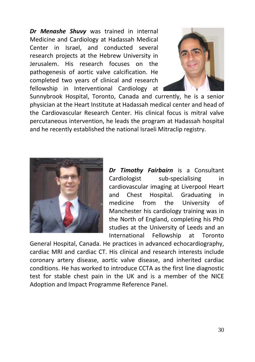*Dr Menashe Shuvy* was trained in internal Medicine and Cardiology at Hadassah Medical Center in Israel, and conducted several research projects at the Hebrew University in Jerusalem. His research focuses on the pathogenesis of aortic valve calcification. He completed two years of clinical and research fellowship in Interventional Cardiology at



Sunnybrook Hospital, Toronto, Canada and currently, he is a senior physician at the Heart Institute at Hadassah medical center and head of the Cardiovascular Research Center. His clinical focus is mitral valve percutaneous intervention, he leads the program at Hadassah hospital and he recently established the national Israeli Mitraclip registry.



*Dr Timothy Fairbairn* is a Consultant Cardiologist sub-specialising in cardiovascular imaging at Liverpool Heart and Chest Hospital. Graduating in medicine from the University of Manchester his cardiology training was in the North of England, completing his PhD studies at the University of Leeds and an International Fellowship at Toronto

General Hospital, Canada. He practices in advanced echocardiography, cardiac MRI and cardiac CT. His clinical and research interests include coronary artery disease, aortic valve disease, and inherited cardiac conditions. He has worked to introduce CCTA as the first line diagnostic test for stable chest pain in the UK and is a member of the NICE Adoption and Impact Programme Reference Panel.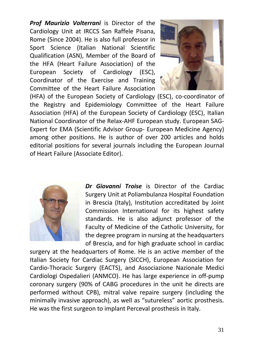*Prof Maurizio Volterrani* is Director of the Cardiology Unit at IRCCS San Raffele Pisana, Rome (Since 2004). He is also full professor in Sport Science (Italian National Scientific Qualification (ASN), Member of the Board of the HFA (Heart Failure Association) of the European Society of Cardiology (ESC), Coordinator of the Exercise and Training Committee of the Heart Failure Association



(HFA) of the European Society of Cardiology (ESC), co-coordinator of the Registry and Epidemiology Committee of the Heart Failure Association (HFA) of the European Society of Cardiology (ESC), Italian National Coordinator of the Relax-AHF European study. European SAG-Expert for EMA (Scientific Advisor Group- European Medicine Agency) among other positions. He is author of over 200 articles and holds editorial positions for several journals including the European Journal of Heart Failure (Associate Editor).



*Dr Giovanni Troise* is Director of the Cardiac Surgery Unit at Poliambulanza Hospital Foundation in Brescia (Italy), Institution accreditated by Joint Commission International for its highest safety standards. He is also adjunct professor of the Faculty of Medicine of the Catholic University, for the degree program in nursing at the headquarters of Brescia, and for high graduate school in cardiac

surgery at the headquarters of Rome. He is an active member of the Italian Society for Cardiac Surgery (SICCH), European Association for Cardio-Thoracic Surgery (EACTS), and Associazione Nazionale Medici Cardiologi Ospedalieri (ANMCO). He has large experience in off-pump coronary surgery (90% of CABG procedures in the unit he directs are performed without CPB), mitral valve repaire surgery (including the minimally invasive approach), as well as "sutureless" aortic prosthesis. He was the first surgeon to implant Perceval prosthesis in Italy.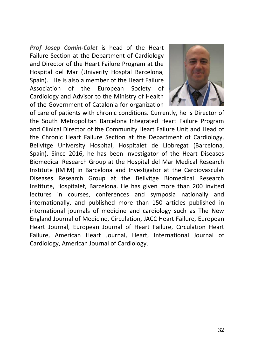*Prof Josep Comin-Colet* is head of the Heart Failure Section at the Department of Cardiology and Director of the Heart Failure Program at the Hospital del Mar (Univerity Hosptal Barcelona, Spain). He is also a member of the Heart Failure Association of the European Society of Cardiology and Advisor to the Ministry of Health of the Government of Catalonia for organization



of care of patients with chronic conditions. Currently, he is Director of the South Metropolitan Barcelona Integrated Heart Failure Program and Clinical Director of the Community Heart Failure Unit and Head of the Chronic Heart Failure Section at the Department of Cardiology, Bellvitge University Hospital, Hospitalet de Llobregat (Barcelona, Spain). Since 2016, he has been Investigator of the Heart Diseases Biomedical Research Group at the Hospital del Mar Medical Research Institute (IMIM) in Barcelona and Investigator at the Cardiovascular Diseases Research Group at the Bellvitge Biomedical Research Institute, Hospitalet, Barcelona. He has given more than 200 invited lectures in courses, conferences and symposia nationally and internationally, and published more than 150 articles published in international journals of medicine and cardiology such as The New England Journal of Medicine, Circulation, JACC Heart Failure, European Heart Journal, European Journal of Heart Failure, Circulation Heart Failure, American Heart Journal, Heart, International Journal of Cardiology, American Journal of Cardiology.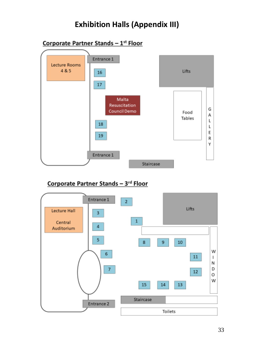#### **Exhibition Halls (Appendix III)**



#### Corporate Partner Stands - 3rd Floor

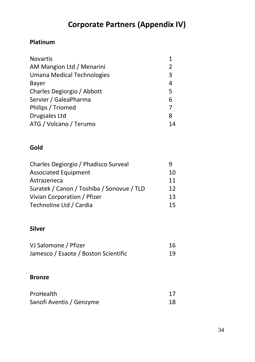#### **Corporate Partners (Appendix IV)**

#### **Platinum**

| <b>Novartis</b>            | 1  |
|----------------------------|----|
| AM Mangion Ltd / Menarini  | 2  |
| Umana Medical Technologies | 3  |
| Bayer                      | 4  |
| Charles Degiorgio / Abbott | 5  |
| Servier / GaleaPharma      | 6  |
| Philips / Triomed          | 7  |
| Drugsales Ltd              | 8  |
| ATG / Volcano / Terumo     | 14 |
|                            |    |

#### **Gold**

| Charles Degiorgio / Phadisco Surveal      | q  |
|-------------------------------------------|----|
| <b>Associated Equipment</b>               | 10 |
| Astrazeneca                               | 11 |
| Suratek / Canon / Toshiba / Sonovue / TLD | 12 |
| Vivian Corporation / Pfizer               | 13 |
| Technoline Ltd / Cardia                   | 15 |

#### **Silver**

| VJ Salomone / Pfizer                 | 16 |
|--------------------------------------|----|
| Jamesco / Esaote / Boston Scientific | 19 |

#### **Bronze**

| ProHealth                |    |
|--------------------------|----|
| Sanofi Aventis / Genzyme | 18 |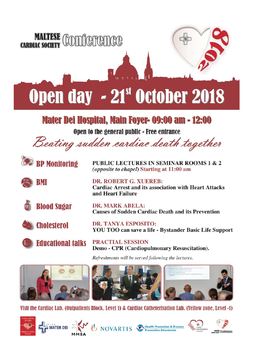

Visit the Cardiac Lab. (Outpatients Block, Level 1) & Cardiac Catheterisation Lab. (Yellow zone, Level -1)